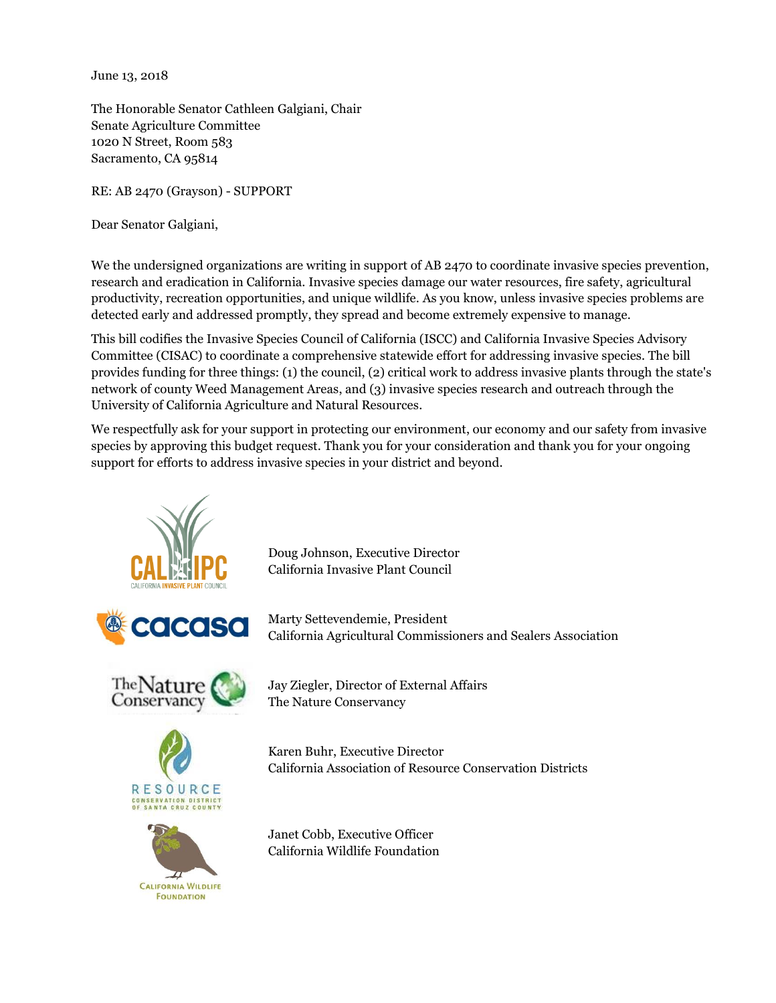June 13, 2018

The Honorable Senator Cathleen Galgiani, Chair Senate Agriculture Committee 1020 N Street, Room 583 Sacramento, CA 95814

RE: AB 2470 (Grayson) - SUPPORT

Dear Senator Galgiani,

We the undersigned organizations are writing in support of AB 2470 to coordinate invasive species prevention, research and eradication in California. Invasive species damage our water resources, fire safety, agricultural productivity, recreation opportunities, and unique wildlife. As you know, unless invasive species problems are detected early and addressed promptly, they spread and become extremely expensive to manage.

This bill codifies the Invasive Species Council of California (ISCC) and California Invasive Species Advisory Committee (CISAC) to coordinate a comprehensive statewide effort for addressing invasive species. The bill provides funding for three things: (1) the council, (2) critical work to address invasive plants through the state's network of county Weed Management Areas, and (3) invasive species research and outreach through the University of California Agriculture and Natural Resources.

We respectfully ask for your support in protecting our environment, our economy and our safety from invasive species by approving this budget request. Thank you for your consideration and thank you for your ongoing support for efforts to address invasive species in your district and beyond.



Doug Johnson, Executive Director California Invasive Plant Council

Marty Settevendemie, President California Agricultural Commissioners and Sealers Association

Jay Ziegler, Director of External Affairs The Nature Conservancy

Karen Buhr, Executive Director California Association of Resource Conservation Districts

Janet Cobb, Executive Officer California Wildlife Foundation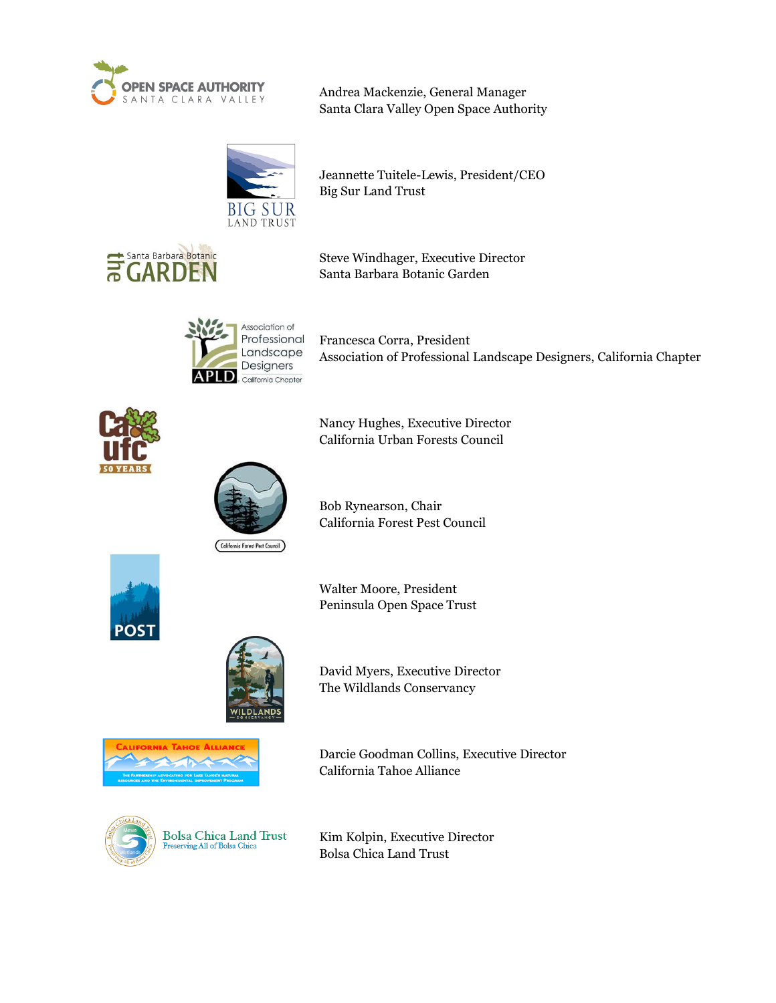

Andrea Mackenzie, General Manager Santa Clara Valley Open Space Authority

Jeannette Tuitele-Lewis, President/CEO



Big Sur Land Trust



Steve Windhager, Executive Director Santa Barbara Botanic Garden

Nancy Hughes, Executive Director



Francesca Corra, President Association of Professional Landscape Designers, California Chapter



California Urban Forests Council

Bob Rynearson, Chair California Forest Pest Council

California Forest Pest Council



Walter Moore, President Peninsula Open Space Trust



David Myers, Executive Director The Wildlands Conservancy



Darcie Goodman Collins, Executive Director California Tahoe Alliance



**Bolsa Chica Land Trust** ving All of Bolsa Chica

Kim Kolpin, Executive Director Bolsa Chica Land Trust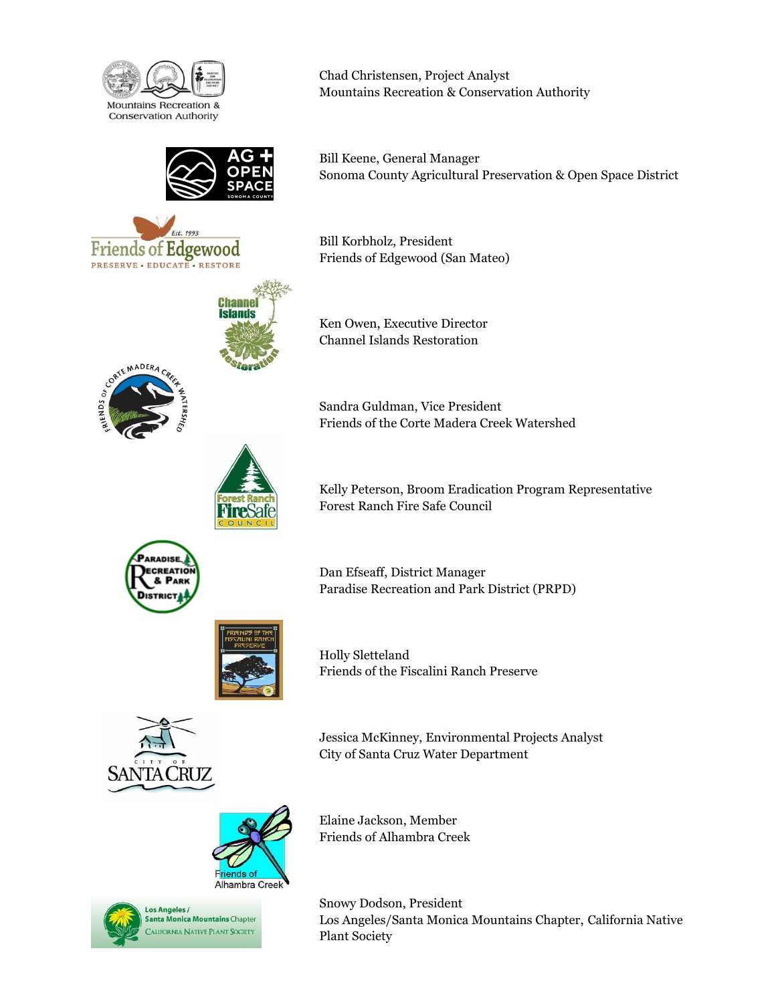

Edgewood

**Channel Islands** 

Friends of

**PRESERVE · EDUCATE · RESTORE** 

Chad Christensen, Project Analyst Mountains Recreation & Conservation Authority

Bill Keene, General Manager Sonoma County Agricultural Preservation & Open Space District

Bill Korbholz, President Friends of Edgewood (San Mateo)

Ken Owen, Executive Director Channel Islands Restoration

Sandra Guldman, Vice President Friends of the Corte Madera Creek Watershed



Kelly Peterson, Broom Eradication Program Representative Forest Ranch Fire Safe Council



Dan Efseaff, District Manager Paradise Recreation and Park District (PRPD)



Holly Sletteland Friends of the Fiscalini Ranch Preserve



Jessica McKinney, Environmental Projects Analyst City of Santa Cruz Water Department





Elaine Jackson, Member Friends of Alhambra Creek

Snowy Dodson, President Los Angeles/Santa Monica Mountains Chapter, California Native Plant Society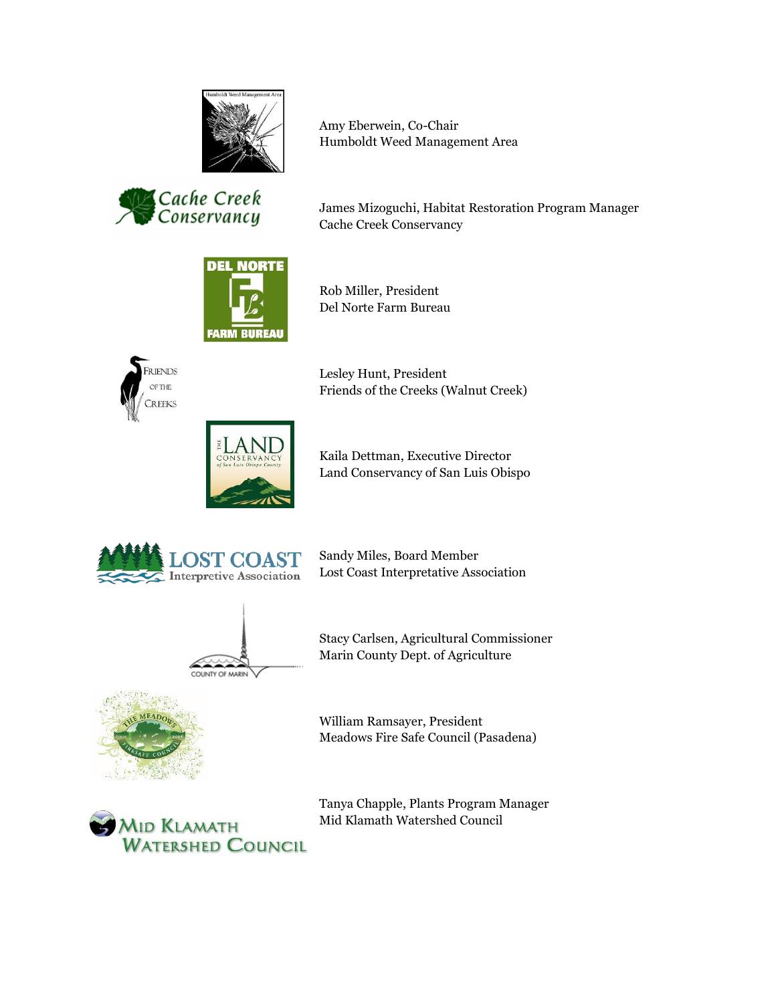

Cache Creek<br>Conservancy

Amy Eberwein, Co-Chair Humboldt Weed Management Area

James Mizoguchi, Habitat Restoration Program Manager Cache Creek Conservancy



Rob Miller, President Del Norte Farm Bureau



Lesley Hunt, President Friends of the Creeks (Walnut Creek)



Kaila Dettman, Executive Director Land Conservancy of San Luis Obispo



Sandy Miles, Board Member Lost Coast Interpretative Association



Stacy Carlsen, Agricultural Commissioner Marin County Dept. of Agriculture



William Ramsayer, President Meadows Fire Safe Council (Pasadena)



Tanya Chapple, Plants Program Manager Mid Klamath Watershed Council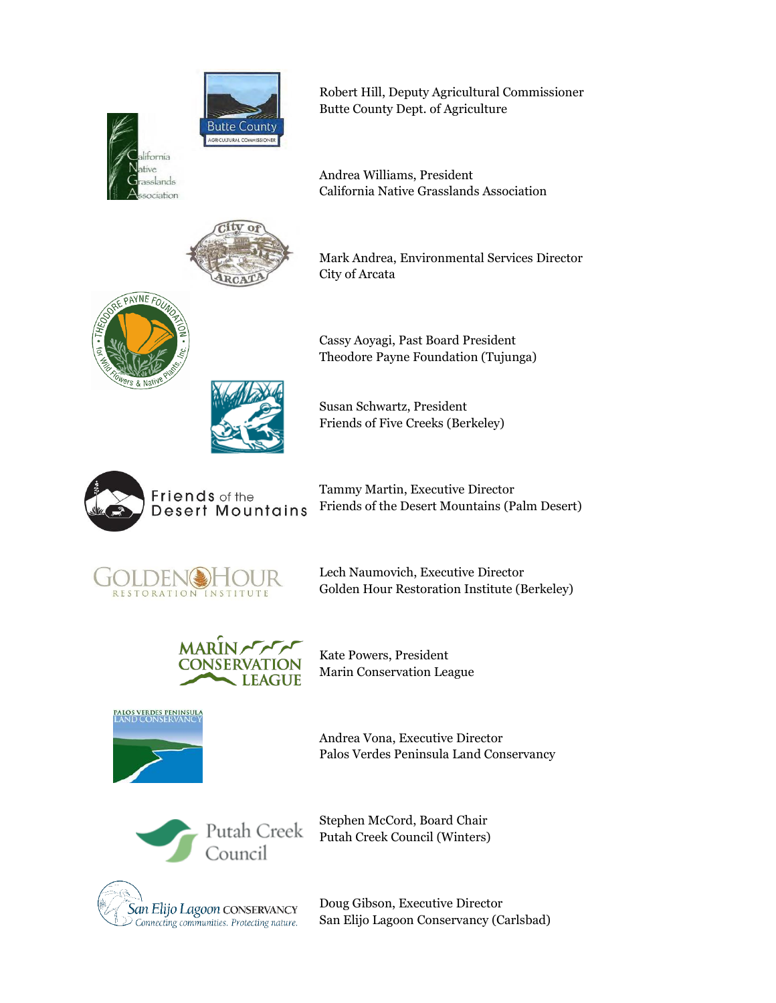



Robert Hill, Deputy Agricultural Commissioner Butte County Dept. of Agriculture

Andrea Williams, President California Native Grasslands Association



Mark Andrea, Environmental Services Director City of Arcata





Susan Schwartz, President Friends of Five Creeks (Berkeley)



Tammy Martin, Executive Director Friends of the Desert Mountains (Palm Desert)



Lech Naumovich, Executive Director Golden Hour Restoration Institute (Berkeley)



Kate Powers, President Marin Conservation League



Andrea Vona, Executive Director Palos Verdes Peninsula Land Conservancy



Stephen McCord, Board Chair Putah Creek Council (Winters)



Doug Gibson, Executive Director San Elijo Lagoon Conservancy (Carlsbad)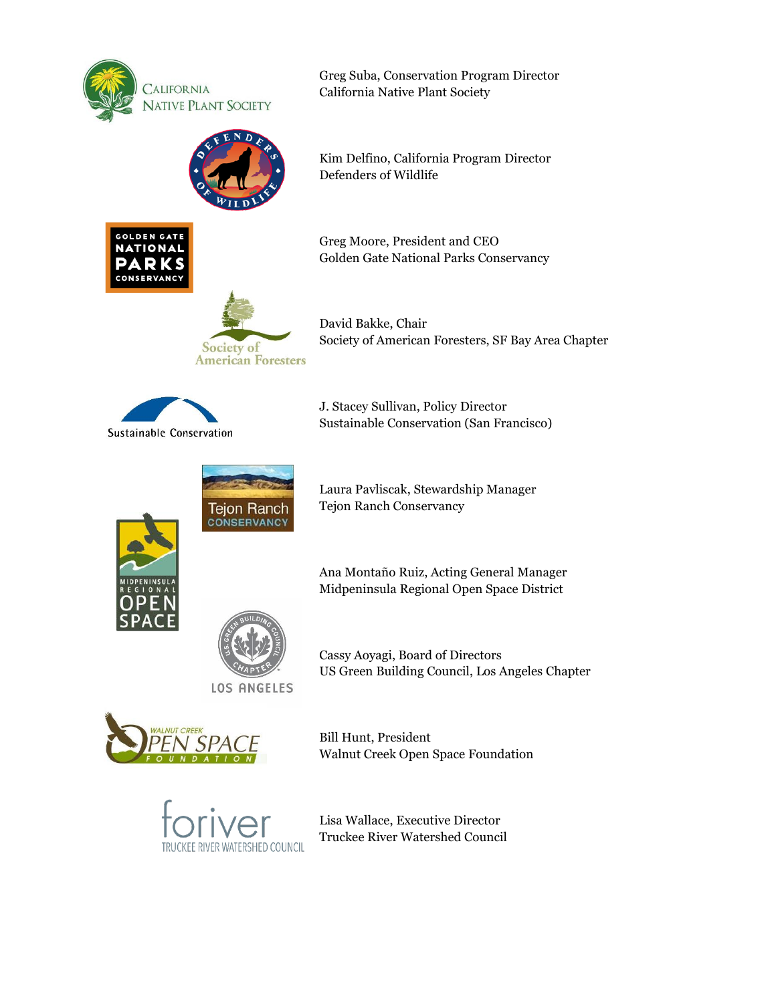

**GOLDEN GAT NATIONAL** 

Greg Suba, Conservation Program Director California Native Plant Society



Kim Delfino, California Program Director Defenders of Wildlife

Greg Moore, President and CEO Golden Gate National Parks Conservancy



David Bakke, Chair Society of American Foresters, SF Bay Area Chapter



J. Stacey Sullivan, Policy Director Sustainable Conservation (San Francisco)



Laura Pavliscak, Stewardship Manager Tejon Ranch Conservancy





Midpeninsula Regional Open Space District

Cassy Aoyagi, Board of Directors US Green Building Council, Los Angeles Chapter



Bill Hunt, President Walnut Creek Open Space Foundation



**LOS ANGELES** 

Lisa Wallace, Executive Director Truckee River Watershed Council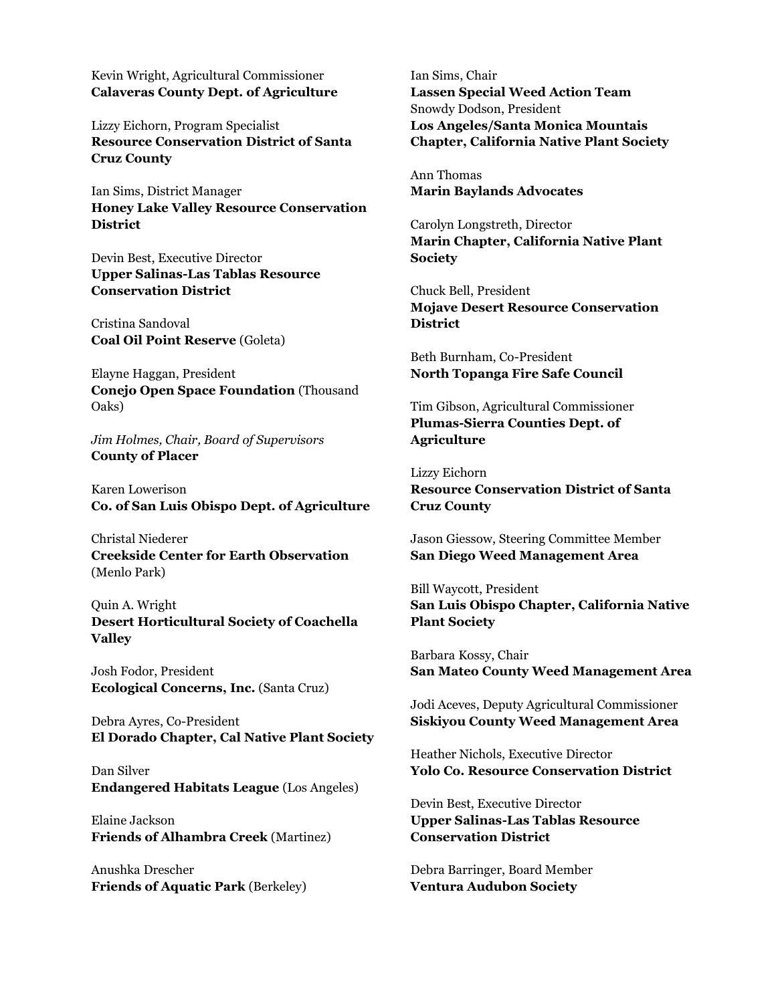Kevin Wright, Agricultural Commissioner **Calaveras County Dept. of Agriculture** 

Lizzy Eichorn, Program Specialist **Resource Conservation District of Santa Cruz County**

Ian Sims, District Manager **Honey Lake Valley Resource Conservation District**

Devin Best, Executive Director **Upper Salinas-Las Tablas Resource Conservation District**

Cristina Sandoval **Coal Oil Point Reserve** (Goleta)

Elayne Haggan, President **Conejo Open Space Foundation** (Thousand Oaks)

*Jim Holmes, Chair, Board of Supervisors*  **County of Placer**

Karen Lowerison **Co. of San Luis Obispo Dept. of Agriculture**

Christal Niederer **Creekside Center for Earth Observation** (Menlo Park)

Quin A. Wright **Desert Horticultural Society of Coachella Valley**

Josh Fodor, President **Ecological Concerns, Inc.** (Santa Cruz)

Debra Ayres, Co-President **El Dorado Chapter, Cal Native Plant Society**

Dan Silver **Endangered Habitats League** (Los Angeles)

Elaine Jackson **Friends of Alhambra Creek** (Martinez)

Anushka Drescher **Friends of Aquatic Park** (Berkeley) Ian Sims, Chair **Lassen Special Weed Action Team** Snowdy Dodson, President **Los Angeles/Santa Monica Mountais Chapter, California Native Plant Society**

Ann Thomas **Marin Baylands Advocates**

Carolyn Longstreth, Director **Marin Chapter, California Native Plant Society**

Chuck Bell, President **Mojave Desert Resource Conservation District**

Beth Burnham, Co-President **North Topanga Fire Safe Council**

Tim Gibson, Agricultural Commissioner **Plumas-Sierra Counties Dept. of Agriculture**

Lizzy Eichorn **Resource Conservation District of Santa Cruz County**

Jason Giessow, Steering Committee Member **San Diego Weed Management Area**

Bill Waycott, President **San Luis Obispo Chapter, California Native Plant Society**

Barbara Kossy, Chair **San Mateo County Weed Management Area**

Jodi Aceves, Deputy Agricultural Commissioner **Siskiyou County Weed Management Area**

Heather Nichols, Executive Director **Yolo Co. Resource Conservation District**

Devin Best, Executive Director **Upper Salinas-Las Tablas Resource Conservation District**

Debra Barringer, Board Member **Ventura Audubon Society**